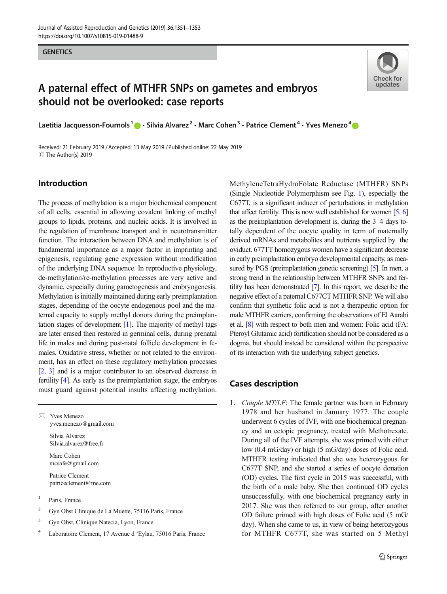# A paternal effect of MTHFR SNPs on gametes and embryos should not be overlooked: case reports



Laetitia Jacquesson-Fournols<sup>1</sup>  $\bigcirc$  · Silvia Alvarez<sup>2</sup> · Marc Cohen<sup>3</sup> · Patrice Clement<sup>4</sup> · Yves Menezo<sup>4</sup>  $\bigcirc$ 

Received: 21 February 2019 /Accepted: 13 May 2019 /Published online: 22 May 2019 C The Author(s) 2019

## Introduction

The process of methylation is a major biochemical component of all cells, essential in allowing covalent linking of methyl groups to lipids, proteins, and nucleic acids. It is involved in the regulation of membrane transport and in neurotransmitter function. The interaction between DNA and methylation is of fundamental importance as a major factor in imprinting and epigenesis, regulating gene expression without modification of the underlying DNA sequence. In reproductive physiology, de-methylation/re-methylation processes are very active and dynamic, especially during gametogenesis and embryogenesis. Methylation is initially maintained during early preimplantation stages, depending of the oocyte endogenous pool and the maternal capacity to supply methyl donors during the preimplantation stages of development [\[1](#page-2-0)]. The majority of methyl tags are later erased then restored in germinal cells, during prenatal life in males and during post-natal follicle development in females. Oxidative stress, whether or not related to the environment, has an effect on these regulatory methylation processes [\[2,](#page-2-0) [3\]](#page-2-0) and is a major contributor to an observed decrease in fertility [\[4\]](#page-2-0). As early as the preimplantation stage, the embryos must guard against potential insults affecting methylation.

 $\boxtimes$  Yves Menezo [yves.menezo@gmail.com](mailto:yves.menezo@gmail.com)

> Silvia Alvarez Silvia.alvarez@free.fr

Marc Cohen mcsafe@gmail.com

Patrice Clement patriceclement@me.com

- <sup>1</sup> Paris, France
- <sup>2</sup> Gyn Obst Clinique de La Muette, 75116 Paris, France
- <sup>3</sup> Gyn Obst, Clinique Natecia, Lyon, France
- <sup>4</sup> Laboratoire Clement, 17 Avenue d 'Eylau, 75016 Paris, France

MethyleneTetraHydroFolate Reductase (MTHFR) SNPs (Single Nucleotide Polymorphism see Fig. [1\)](#page-1-0), especially the C677T, is a significant inducer of perturbations in methylation that affect fertility. This is now well established for women [\[5,](#page-2-0) [6](#page-2-0)] as the preimplantation development is, during the 3–4 days totally dependent of the oocyte quality in term of maternally derived mRNAs and metabolites and nutrients supplied by the oviduct. 677TT homozygous women have a significant decrease in early preimplantation embryo developmental capacity, as measured by PGS (preimplantation genetic screening) [\[5](#page-2-0)]. In men, a strong trend in the relationship between MTHFR SNPs and fertility has been demonstrated [\[7\]](#page-2-0). In this report, we describe the negative effect of a paternal C677CT MTHFR SNP. We will also confirm that synthetic folic acid is not a therapeutic option for male MTHFR carriers, confirming the observations of El Aarabi et al. [\[8\]](#page-2-0) with respect to both men and women: Folic acid (FA: Pteroyl Glutamic acid) fortification should not be considered as a dogma, but should instead be considered within the perspective of its interaction with the underlying subject genetics.

### Cases description

1. Couple MT/LF: The female partner was born in February 1978 and her husband in January 1977. The couple underwent 6 cycles of IVF, with one biochemical pregnancy and an ectopic pregnancy, treated with Methotrexate. During all of the IVF attempts, she was primed with either low (0.4 mG/day) or high (5 mG/day) doses of Folic acid. MTHFR testing indicated that she was heterozygous for C677T SNP, and she started a series of oocyte donation (OD) cycles. The first cycle in 2015 was successful, with the birth of a male baby. She then continued OD cycles unsuccessfully, with one biochemical pregnancy early in 2017. She was then referred to our group, after another OD failure primed with high doses of Folic acid (5 mG/ day). When she came to us, in view of being heterozygous for MTHFR C677T, she was started on 5 Methyl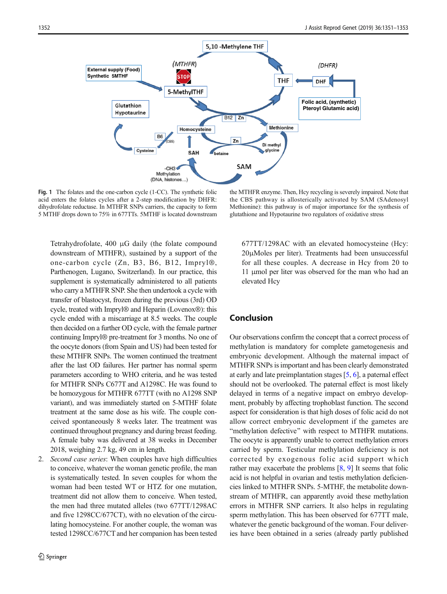<span id="page-1-0"></span>

Fig. 1 The folates and the one-carbon cycle (1-CC). The synthetic folic acid enters the folates cycles after a 2-step modification by DHFR: dihydrofolate reductase. In MTHFR SNPs carriers, the capacity to form 5 MTHF drops down to 75% in 677TTs. 5MTHF is located downstream

the MTHFR enzyme. Then, Hcy recycling is severely impaired. Note that the CBS pathway is allosterically activated by SAM (SAdenosyl Methionine): this pathway is of major importance for the synthesis of glutathione and Hypotaurine two regulators of oxidative stress

Tetrahydrofolate, 400 μG daily (the folate compound downstream of MTHFR), sustained by a support of the one-carbon cycle (Zn, B3, B6, B12, Impryl®, Parthenogen, Lugano, Switzerland). In our practice, this supplement is systematically administered to all patients who carry a MTHFR SNP. She then undertook a cycle with transfer of blastocyst, frozen during the previous (3rd) OD cycle, treated with Impryl® and Heparin (Lovenox®): this cycle ended with a miscarriage at 8.5 weeks. The couple then decided on a further OD cycle, with the female partner continuing Impryl® pre-treatment for 3 months. No one of the oocyte donors (from Spain and US) had been tested for these MTHFR SNPs. The women continued the treatment after the last OD failures. Her partner has normal sperm parameters according to WHO criteria, and he was tested for MTHFR SNPs C677T and A1298C. He was found to be homozygous for MTHFR 677TT (with no A1298 SNP variant), and was immediately started on 5-MTHF folate treatment at the same dose as his wife. The couple conceived spontaneously 8 weeks later. The treatment was continued throughout pregnancy and during breast feeding. A female baby was delivered at 38 weeks in December 2018, weighing 2.7 kg, 49 cm in length.

2. Second case series: When couples have high difficulties to conceive, whatever the woman genetic profile, the man is systematically tested. In seven couples for whom the woman had been tested WT or HTZ for one mutation, treatment did not allow them to conceive. When tested, the men had three mutated alleles (two 677TT/1298AC and five 1298CC/677CT), with no elevation of the circulating homocysteine. For another couple, the woman was tested 1298CC/677CT and her companion has been tested 677TT/1298AC with an elevated homocysteine (Hcy: 20μMoles per liter). Treatments had been unsuccessful for all these couples. A decrease in Hcy from 20 to 11 μmol per liter was observed for the man who had an elevated Hcy

### Conclusion

Our observations confirm the concept that a correct process of methylation is mandatory for complete gametogenesis and embryonic development. Although the maternal impact of MTHFR SNPs is important and has been clearly demonstrated at early and late preimplantation stages [[5,](#page-2-0) [6](#page-2-0)], a paternal effect should not be overlooked. The paternal effect is most likely delayed in terms of a negative impact on embryo development, probably by affecting trophoblast function. The second aspect for consideration is that high doses of folic acid do not allow correct embryonic development if the gametes are "methylation defective" with respect to MTHFR mutations. The oocyte is apparently unable to correct methylation errors carried by sperm. Testicular methylation deficiency is not corrected by exogenous folic acid support which rather may exacerbate the problems  $[8, 9]$  $[8, 9]$  $[8, 9]$  It seems that folic acid is not helpful in ovarian and testis methylation deficiencies linked to MTHFR SNPs. 5-MTHF, the metabolite downstream of MTHFR, can apparently avoid these methylation errors in MTHFR SNP carriers. It also helps in regulating sperm methylation. This has been observed for 677TT male, whatever the genetic background of the woman. Four deliveries have been obtained in a series (already partly published